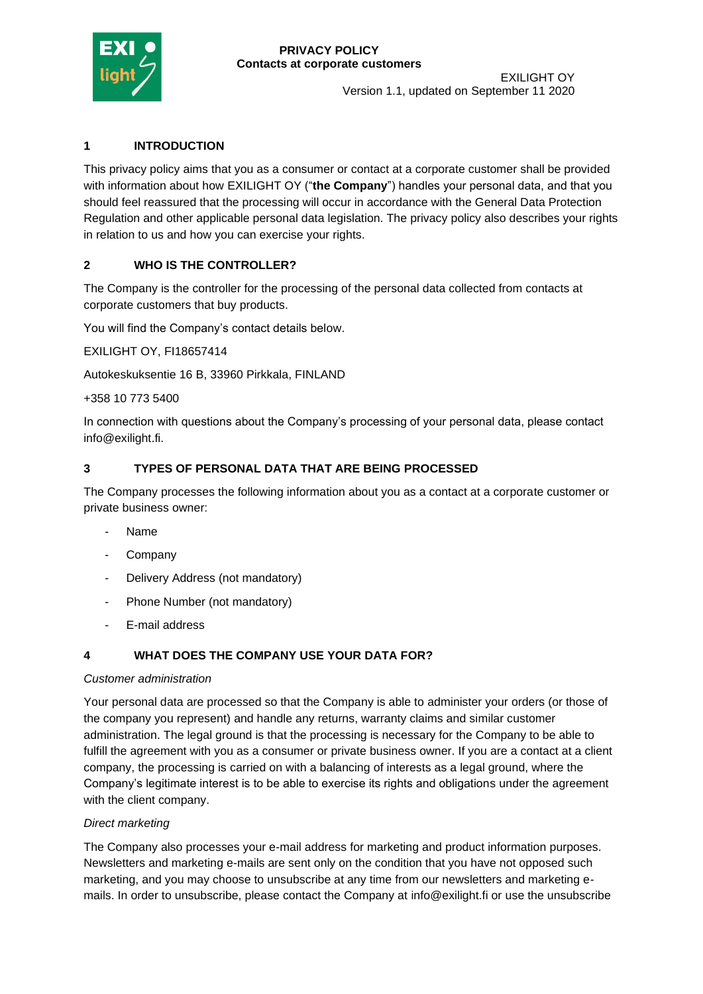

Version 1.1, updated on September 11 2020

## **1 INTRODUCTION**

This privacy policy aims that you as a consumer or contact at a corporate customer shall be provided with information about how EXILIGHT OY ("**the Company**") handles your personal data, and that you should feel reassured that the processing will occur in accordance with the General Data Protection Regulation and other applicable personal data legislation. The privacy policy also describes your rights in relation to us and how you can exercise your rights.

### **2 WHO IS THE CONTROLLER?**

The Company is the controller for the processing of the personal data collected from contacts at corporate customers that buy products.

You will find the Company's contact details below.

EXILIGHT OY, FI18657414

Autokeskuksentie 16 B, 33960 Pirkkala, FINLAND

+358 10 773 5400

In connection with questions about the Company's processing of your personal data, please contact info@exilight.fi.

### **3 TYPES OF PERSONAL DATA THAT ARE BEING PROCESSED**

The Company processes the following information about you as a contact at a corporate customer or private business owner:

- Name
- Company
- Delivery Address (not mandatory)
- Phone Number (not mandatory)
- E-mail address

# **4 WHAT DOES THE COMPANY USE YOUR DATA FOR?**

#### *Customer administration*

Your personal data are processed so that the Company is able to administer your orders (or those of the company you represent) and handle any returns, warranty claims and similar customer administration. The legal ground is that the processing is necessary for the Company to be able to fulfill the agreement with you as a consumer or private business owner. If you are a contact at a client company, the processing is carried on with a balancing of interests as a legal ground, where the Company's legitimate interest is to be able to exercise its rights and obligations under the agreement with the client company.

### *Direct marketing*

The Company also processes your e-mail address for marketing and product information purposes. Newsletters and marketing e-mails are sent only on the condition that you have not opposed such marketing, and you may choose to unsubscribe at any time from our newsletters and marketing emails. In order to unsubscribe, please contact the Company at info@exilight.fi or use the unsubscribe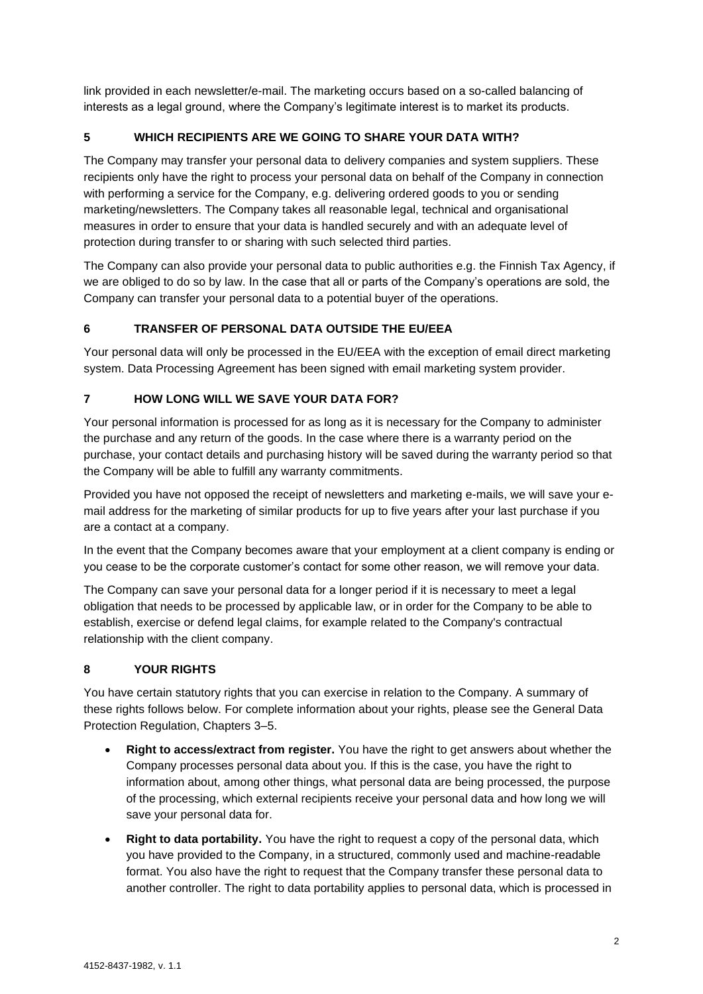link provided in each newsletter/e-mail. The marketing occurs based on a so-called balancing of interests as a legal ground, where the Company's legitimate interest is to market its products.

# **5 WHICH RECIPIENTS ARE WE GOING TO SHARE YOUR DATA WITH?**

The Company may transfer your personal data to delivery companies and system suppliers. These recipients only have the right to process your personal data on behalf of the Company in connection with performing a service for the Company, e.g. delivering ordered goods to you or sending marketing/newsletters. The Company takes all reasonable legal, technical and organisational measures in order to ensure that your data is handled securely and with an adequate level of protection during transfer to or sharing with such selected third parties.

The Company can also provide your personal data to public authorities e.g. the Finnish Tax Agency, if we are obliged to do so by law. In the case that all or parts of the Company's operations are sold, the Company can transfer your personal data to a potential buyer of the operations.

# **6 TRANSFER OF PERSONAL DATA OUTSIDE THE EU/EEA**

Your personal data will only be processed in the EU/EEA with the exception of email direct marketing system. Data Processing Agreement has been signed with email marketing system provider.

### **7 HOW LONG WILL WE SAVE YOUR DATA FOR?**

Your personal information is processed for as long as it is necessary for the Company to administer the purchase and any return of the goods. In the case where there is a warranty period on the purchase, your contact details and purchasing history will be saved during the warranty period so that the Company will be able to fulfill any warranty commitments.

Provided you have not opposed the receipt of newsletters and marketing e-mails, we will save your email address for the marketing of similar products for up to five years after your last purchase if you are a contact at a company.

In the event that the Company becomes aware that your employment at a client company is ending or you cease to be the corporate customer's contact for some other reason, we will remove your data.

The Company can save your personal data for a longer period if it is necessary to meet a legal obligation that needs to be processed by applicable law, or in order for the Company to be able to establish, exercise or defend legal claims, for example related to the Company's contractual relationship with the client company.

### **8 YOUR RIGHTS**

You have certain statutory rights that you can exercise in relation to the Company. A summary of these rights follows below. For complete information about your rights, please see the General Data Protection Regulation, Chapters 3–5.

- **Right to access/extract from register.** You have the right to get answers about whether the Company processes personal data about you. If this is the case, you have the right to information about, among other things, what personal data are being processed, the purpose of the processing, which external recipients receive your personal data and how long we will save your personal data for.
- **Right to data portability.** You have the right to request a copy of the personal data, which you have provided to the Company, in a structured, commonly used and machine-readable format. You also have the right to request that the Company transfer these personal data to another controller. The right to data portability applies to personal data, which is processed in